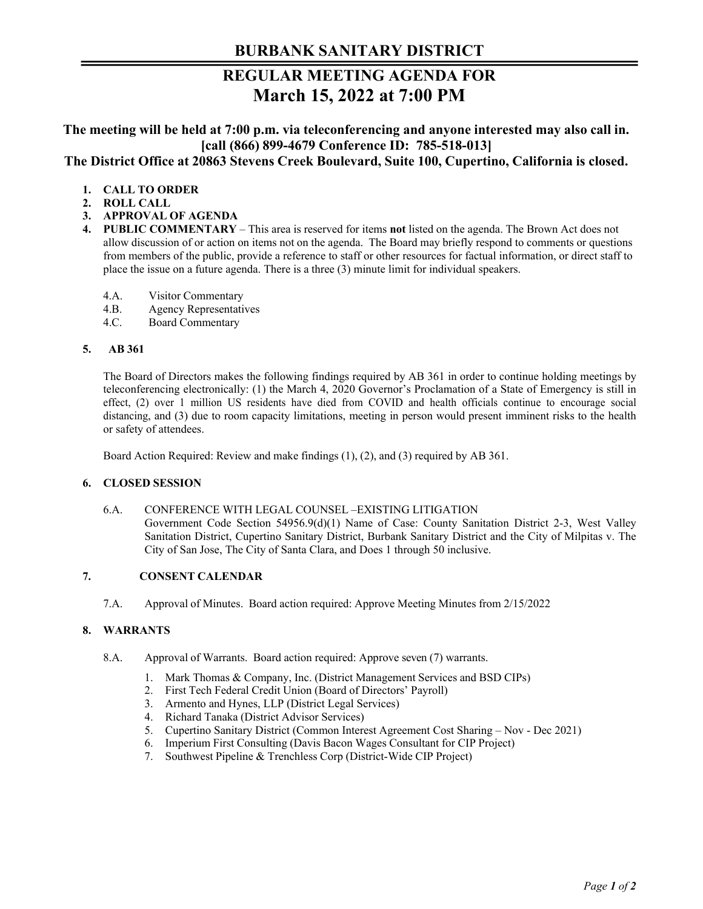# **BURBANK SANITARY DISTRICT**

# **REGULAR MEETING AGENDA FOR March 15, 2022 at 7:00 PM**

**The meeting will be held at 7:00 p.m. via teleconferencing and anyone interested may also call in. [call (866) 899-4679 Conference ID: 785-518-013] The District Office at 20863 Stevens Creek Boulevard, Suite 100, Cupertino, California is closed.** 

# **1. CALL TO ORDER**

- **2. ROLL CALL**
- **3. APPROVAL OF AGENDA**
- **4. PUBLIC COMMENTARY**  This area is reserved for items **not** listed on the agenda. The Brown Act does not allow discussion of or action on items not on the agenda. The Board may briefly respond to comments or questions from members of the public, provide a reference to staff or other resources for factual information, or direct staff to place the issue on a future agenda. There is a three (3) minute limit for individual speakers.
	- 4.A. Visitor Commentary
	- 4.B. Agency Representatives
	- 4.C. Board Commentary

#### **5. AB 361**

The Board of Directors makes the following findings required by AB 361 in order to continue holding meetings by teleconferencing electronically: (1) the March 4, 2020 Governor's Proclamation of a State of Emergency is still in effect, (2) over 1 million US residents have died from COVID and health officials continue to encourage social distancing, and (3) due to room capacity limitations, meeting in person would present imminent risks to the health or safety of attendees.

Board Action Required: Review and make findings (1), (2), and (3) required by AB 361.

# **6. CLOSED SESSION**

6.A. CONFERENCE WITH LEGAL COUNSEL –EXISTING LITIGATION Government Code Section 54956.9(d)(1) Name of Case: County Sanitation District 2-3, West Valley Sanitation District, Cupertino Sanitary District, Burbank Sanitary District and the City of Milpitas v. The City of San Jose, The City of Santa Clara, and Does 1 through 50 inclusive.

# **7. CONSENT CALENDAR**

7.A. Approval of Minutes. Board action required: Approve Meeting Minutes from 2/15/2022

# **8. WARRANTS**

- 8.A. Approval of Warrants. Board action required: Approve seven (7) warrants.
	- 1. Mark Thomas & Company, Inc. (District Management Services and BSD CIPs)
	- 2. First Tech Federal Credit Union (Board of Directors' Payroll)
	- 3. Armento and Hynes, LLP (District Legal Services)
	- 4. Richard Tanaka (District Advisor Services)
	- 5. Cupertino Sanitary District (Common Interest Agreement Cost Sharing Nov Dec 2021)
	- 6. Imperium First Consulting (Davis Bacon Wages Consultant for CIP Project)
	- 7. Southwest Pipeline & Trenchless Corp (District-Wide CIP Project)